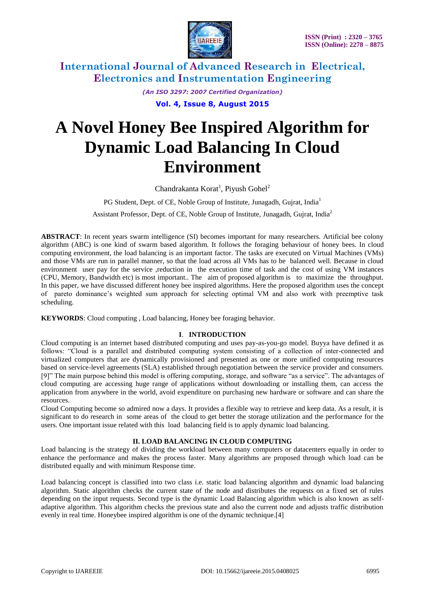

*(An ISO 3297: 2007 Certified Organization)*

**Vol. 4, Issue 8, August 2015**

# **A Novel Honey Bee Inspired Algorithm for Dynamic Load Balancing In Cloud Environment**

Chandrakanta Korat<sup>1</sup>, Piyush Gohel<sup>2</sup>

PG Student, Dept. of CE, Noble Group of Institute, Junagadh, Gujrat, India<sup>1</sup>

Assistant Professor, Dept. of CE, Noble Group of Institute, Junagadh, Gujrat, India<sup>2</sup>

**ABSTRACT**: In recent years swarm intelligence (SI) becomes important for many researchers. Artificial bee colony algorithm (ABC) is one kind of swarm based algorithm. It follows the foraging behaviour of honey bees. In cloud computing environment, the load balancing is an important factor. The tasks are executed on Virtual Machines (VMs) and those VMs are run in parallel manner, so that the load across all VMs has to be balanced well. Because in cloud environment user pay for the service ,reduction in the execution time of task and the cost of using VM instances (CPU, Memory, Bandwidth etc) is most important.. The aim of proposed algorithm is to maximize the throughput. In this paper, we have discussed different honey bee inspired algorithms. Here the proposed algorithm uses the concept of pareto dominance"s weighted sum approach for selecting optimal VM and also work with preemptive task scheduling.

**KEYWORDS**: Cloud computing , Load balancing, Honey bee foraging behavior.

### **I**. **INTRODUCTION**

Cloud computing is an internet based distributed computing and uses pay-as-you-go model. Buyya have defined it as follows: "Cloud is a parallel and distributed computing system consisting of a collection of inter-connected and virtualized computers that are dynamically provisioned and presented as one or more unified computing resources based on service-level agreements (SLA) established through negotiation between the service provider and consumers. [9]" The main purpose behind this model is offering computing, storage, and software "as a service". The advantages of cloud computing are accessing huge range of applications without downloading or installing them, can access the application from anywhere in the world, avoid expenditure on purchasing new hardware or software and can share the resources.

Cloud Computing become so admired now a days. It provides a flexible way to retrieve and keep data. As a result, it is significant to do research in some areas of the cloud to get better the storage utilization and the performance for the users. One important issue related with this load balancing field is to apply dynamic load balancing.

#### **II. LOAD BALANCING IN CLOUD COMPUTING**

Load balancing is the strategy of dividing the workload between many computers or datacenters equally in order to enhance the performance and makes the process faster. Many algorithms are proposed through which load can be distributed equally and with minimum Response time.

Load balancing concept is classified into two class i.e. static load balancing algorithm and dynamic load balancing algorithm. Static algorithm checks the current state of the node and distributes the requests on a fixed set of rules depending on the input requests. Second type is the dynamic Load Balancing algorithm which is also known as selfadaptive algorithm. This algorithm checks the previous state and also the current node and adjusts traffic distribution evenly in real time. Honeybee inspired algorithm is one of the dynamic technique.[4]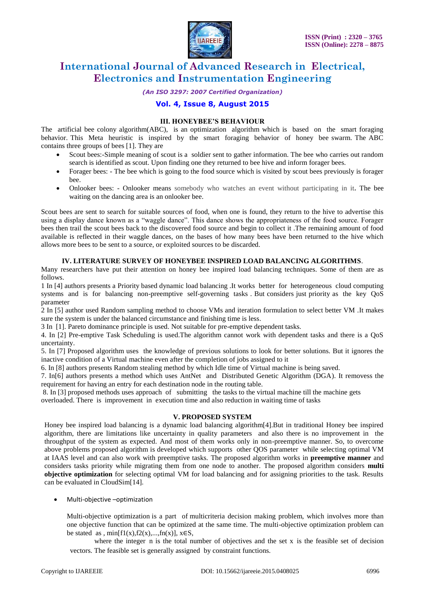

*(An ISO 3297: 2007 Certified Organization)*

### **Vol. 4, Issue 8, August 2015**

#### **III. HONEYBEE'S BEHAVIOUR**

The artificial bee colony algorithm(ABC), is an optimization algorithm which is based on the smart foraging behavior. This Meta heuristic is inspired by the smart foraging behavior of honey bee swarm. The ABC contains three groups of bees [1]. They are

- Scout bees:-Simple meaning of scout is a soldier sent to gather information. The bee who carries out random search is identified as scout. Upon finding one they returned to bee hive and inform forager bees.
- Forager bees: The bee which is going to the food source which is visited by scout bees previously is forager bee.
- Onlooker bees: Onlooker means somebody who watches an event without participating in it**.** The bee waiting on the dancing area is an onlooker bee.

Scout bees are sent to search for suitable sources of food, when one is found, they return to the hive to advertise this using a display dance known as a "waggle dance". This dance shows the appropriateness of the food source. Forager bees then trail the scout bees back to the discovered food source and begin to collect it .The remaining amount of food available is reflected in their waggle dances, on the bases of how many bees have been returned to the hive which allows more bees to be sent to a source, or exploited sources to be discarded.

#### **IV. LITERATURE SURVEY OF HONEYBEE INSPIRED LOAD BALANCING ALGORITHMS**.

Many researchers have put their attention on honey bee inspired load balancing techniques. Some of them are as follows.

1 In [4] authors presents a Priority based dynamic load balancing .It works better for heterogeneous cloud computing systems and is for balancing non-preemptive self-governing tasks . But considers just priority as the key QoS parameter

2 In [5] author used Random sampling method to choose VMs and iteration formulation to select better VM .It makes sure the system is under the balanced circumstance and finishing time is less.

3 In [1]. Pareto dominance principle is used. Not suitable for pre-emptive dependent tasks.

4. In [2] Pre-emptive Task Scheduling is used.The algorithm cannot work with dependent tasks and there is a QoS uncertainty.

5. In [7] Proposed algorithm uses the knowledge of previous solutions to look for better solutions. But it ignores the inactive condition of a Virtual machine even after the completion of jobs assigned to it

6. In [8] authors presents Random stealing method by which Idle time of Virtual machine is being saved.

7. In[6] authors presents a method which uses AntNet and Distributed Genetic Algorithm (DGA). It removess the requirement for having an entry for each destination node in the routing table.

8. In [3] proposed methods uses approach of submitting the tasks to the virtual machine till the machine gets overloaded. There is improvement in execution time and also reduction in waiting time of tasks

#### **V. PROPOSED SYSTEM**

Honey bee inspired load balancing is a dynamic load balancing algorithm[4].But in traditional Honey bee inspired algorithm, there are limitations like uncertainty in quality parameters and also there is no improvement in the throughput of the system as expected. And most of them works only in non-preemptive manner. So, to overcome above problems proposed algorithm is developed which supports other QOS parameter while selecting optimal VM at IAAS level and can also work with preemptive tasks. The proposed algorithm works in **preemptive manner** and considers tasks priority while migrating them from one node to another. The proposed algorithm considers **multi objective optimization** for selecting optimal VM for load balancing and for assigning priorities to the task. Results can be evaluated in CloudSim[14].

Multi-objective –optimization

Multi-objective optimization is a part of multicriteria decision making problem, which involves more than one objective function that can be optimized at the same time. The multi-objective optimization problem can be stated as , min $[f1(x),f2(x),...,fn(x)]$ ,  $x \in S$ ,

where the integer  $n$  is the total number of objectives and the set  $x$  is the feasible set of decision vectors. The feasible set is generally assigned by constraint functions.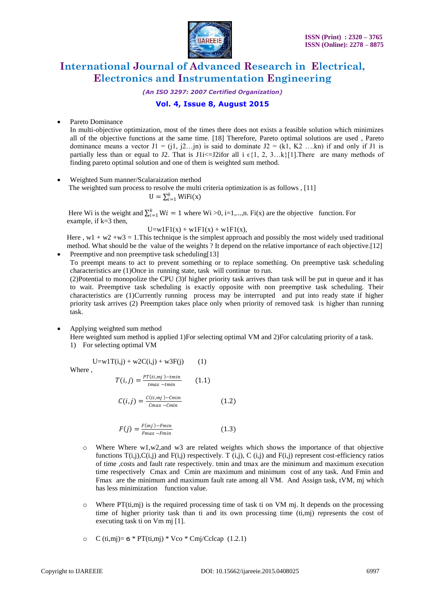

*(An ISO 3297: 2007 Certified Organization)*

## **Vol. 4, Issue 8, August 2015**

Pareto Dominance

In multi-objective optimization, most of the times there does not exists a feasible solution which minimizes all of the objective functions at the same time. [18] Therefore, Pareto optimal solutions are used , Pareto dominance means a vector  $J1 = (i1, i2...in)$  is said to dominate  $J2 = (k1, K2...kn)$  if and only if J1 is partially less than or equal to J2. That is J1i<=J2ifor all i  $\epsilon\{1, 2, 3...\}$ [1]. There are many methods of finding pareto optimal solution and one of them is weighted sum method.

 Weighted Sum manner/Scalaraization method The weighted sum process to resolve the multi criteria optimization is as follows , [11]  $U = \sum_{i=1}^{k} W_i F_i(x)$ 

Here Wi is the weight and  $\sum_{i=1}^{k} Wi = 1$  where Wi >0, i=1,...,n. Fi(x) are the objective function. For example, if k=3 then,

$$
U = w1F1(x) + w1F1(x) + w1F1(x),
$$

Here,  $w1 + w2 + w3 = 1$ . This technique is the simplest approach and possibly the most widely used traditional method. What should be the value of the weights ? It depend on the relative importance of each objective.[12]

Preemptive and non preemptive task scheduling[13] To preempt means to act to prevent something or to replace something. On preemptive task scheduling characteristics are (1)Once in running state, task will continue to run.

(2)Potential to monopolize the CPU (3)f higher priority task arrives than task will be put in queue and it has to wait. Preemptive task scheduling is exactly opposite with non preemptive task scheduling. Their characteristics are (1)Currently running process may be interrupted and put into ready state if higher priority task arrives (2) Preemption takes place only when priority of removed task is higher than running task.

#### Applying weighted sum method

Here weighted sum method is applied 1)For selecting optimal VM and 2)For calculating priority of a task. 1) For selecting optimal VM

$$
U = w1T(i,j) + w2C(i,j) + w3F(j) \tag{1}
$$

Where ,

$$
T(i,j) = \frac{PT(it,mj) - tmin}{tmax - tmin}
$$
 (1.1)

$$
C(i,j) = \frac{C(i,mj)-Cmin}{Cmax - Cmin}
$$
 (1.2)

$$
F(j) = \frac{F(mj) - Fmin}{Fmax - Fmin}
$$
\n(1.3)

- o Where Where w1,w2,and w3 are related weights which shows the importance of that objective functions  $T(i,j),C(i,j)$  and  $F(i,j)$  respectively. T  $(i,j), C(i,j)$  and  $F(i,j)$  represent cost-efficiency ratios of time ,costs and fault rate respectively. tmin and tmax are the minimum and maximum execution time respectively Cmax and Cmin are maximum and minimum cost of any task. And Fmin and Fmax are the minimum and maximum fault rate among all VM. And Assign task, tVM, mj which has less minimization function value.
- o Where PT(ti,mj) is the required processing time of task ti on VM mj. It depends on the processing time of higher priority task than ti and its own processing time (ti,mj) represents the cost of executing task ti on Vm mj [1].
- o  $C (ti,mj) = 6 * PT (ti,mj) * Vco * Cmj/Cclcap (1.2.1)$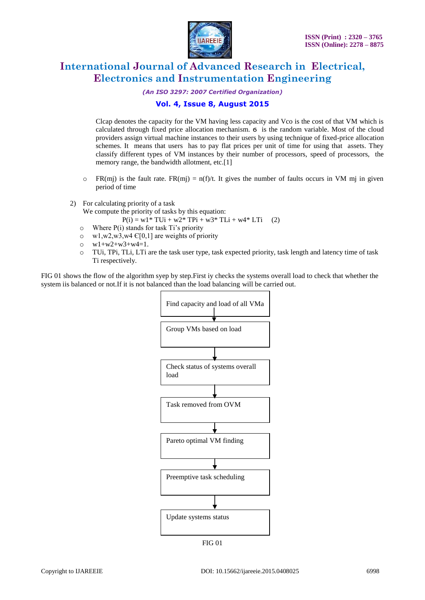

*(An ISO 3297: 2007 Certified Organization)*

### **Vol. 4, Issue 8, August 2015**

Clcap denotes the capacity for the VM having less capacity and Vco is the cost of that VM which is calculated through fixed price allocation mechanism. ϭ is the random variable. Most of the cloud providers assign virtual machine instances to their users by using technique of fixed-price allocation schemes. It means that users has to pay flat prices per unit of time for using that assets. They classify different types of VM instances by their number of processors, speed of processors, the memory range, the bandwidth allotment, etc.[1]

- $\circ$  FR(mj) is the fault rate. FR(mj) = n(f)/t. It gives the number of faults occurs in VM mj in given period of time
- 2) For calculating priority of a task

We compute the priority of tasks by this equation:

```
P(i) = w1 * TUi + w2 * TPi + w3 * TLi + w4 * LTi (2)
```
- $\circ$  Where P(i) stands for task Ti's priority
- $\circ$  w1,w2,w3,w4  $\epsilon$ [0,1] are weights of priority
- $o$   $w1+w2+w3+w4=1$ .
- o TUi, TPi, TLi, LTi are the task user type, task expected priority, task length and latency time of task Ti respectively.

FIG 01 shows the flow of the algorithm syep by step.First iy checks the systems overall load to check that whether the system iis balanced or not.If it is not balanced than the load balancing will be carried out.

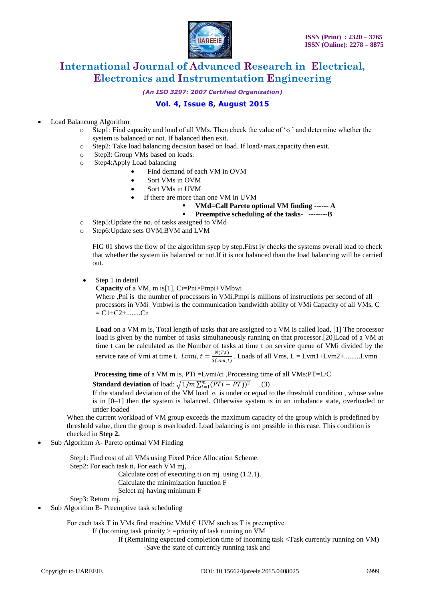

*(An ISO 3297: 2007 Certified Organization)*

## **Vol. 4, Issue 8, August 2015**

Load Balancung Algorithm

- o Step1: Find capacity and load of all VMs. Then check the value of "ϭ " and determine whether the system is balanced or not. If balanced then exit.
- o Step2: Take load balancing decision based on load. If load>max.capacity then exit.
- o Step3: Group VMs based on loads.
- o Step4:Apply Load balancing
	- Find demand of each VM in OVM
		- Sort VMs in OVM
		- Sort VMs in UVM
		- If there are more than one VM in UVM
			- **VMd=Call Pareto optimal VM finding ------ A**

**Preemptive scheduling of the tasks- --------B**

- o Step5:Update the no. of tasks assigned to VMd
- o Step6:Update sets OVM,BVM and LVM

FIG 01 shows the flow of the algorithm syep by step.First iy checks the systems overall load to check that whether the system iis balanced or not.If it is not balanced than the load balancing will be carried out.

Step 1 in detail

**Capacity** of a VM, m is[1], Ci=Pni×Pmpi+VMbwi Where ,Pni is the number of processors in VMi,Pmpi is millions of instructions per second of all

processors in VMi Vmbwi is the communication bandwidth ability of VMi Capacity of all VMs, C  $= C1 + C2 + \dots Cn$ 

**Load** on a VM m is, Total length of tasks that are assigned to a VM is called load, [1] The processor load is given by the number of tasks simultaneously running on that processor.[20]Load of a VM at time t can be calculated as the Number of tasks at time t on service queue of VMi divided by the service rate of Vmi at time t.  $Lvmi, t = \frac{N(T,t)}{C(r)}$  $\frac{N(t,t)}{S(vmi,t)}$ . Loads of all Vms, L = Lvm1+Lvm2+.........Lvmn

**Processing time** of a VM m is, PTi =Lvmi/ci, Processing time of all VMs:PT=L/C

**Standard deviation** of load:  $\sqrt{1/m} \sum_{i=1}^{m} (PTi - PT))^2$ (3)

If the standard deviation of the VM load σ is under or equal to the threshold condition, whose value is in [0–1] then the system is balanced. Otherwise system is in an imbalance state, overloaded or under loaded

When the current workload of VM group exceeds the maximum capacity of the group which is predefined by threshold value, then the group is overloaded. Load balancing is not possible in this case. This condition is checked in **Step 2.**

Sub Algorithm A- Pareto optimal VM Finding

Step1: Find cost of all VMs using Fixed Price Allocation Scheme. Step2: For each task ti, For each VM mj, Calculate cost of executing ti on mi using  $(1.2.1)$ . Calculate the minimization function F Select mj having minimum F

Step3: Return mj.

Sub Algorithm B- Preemptive task scheduling

For each task  $T$  in VMs find machine VMd  $\epsilon$  UVM such as  $T$  is preemptive.

If (Incoming task priority  $\ge$  =priority of task running on VM

If (Remaining expected completion time of incoming task <Task currently running on VM) -Save the state of currently running task and